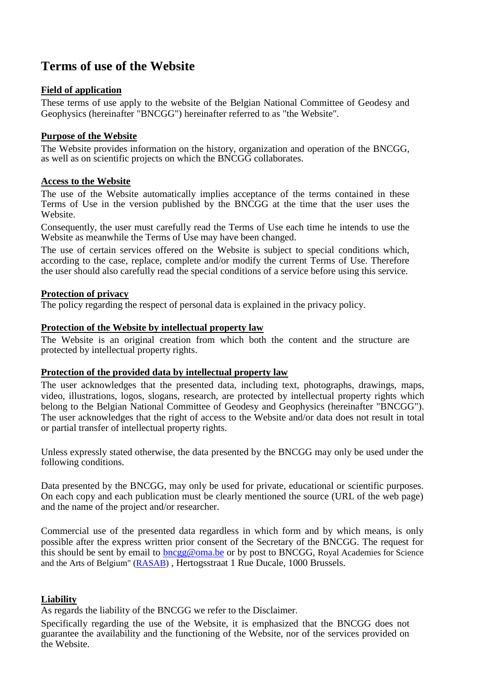# **Terms of use of the Website**

# **Field of application**

These terms of use apply to the website of the Belgian National Committee of Geodesy and Geophysics (hereinafter "BNCGG") hereinafter referred to as "the Website".

# **Purpose of the Website**

The Website provides information on the history, organization and operation of the BNCGG, as well as on scientific projects on which the BNCGG collaborates.

## **Access to the Website**

The use of the Website automatically implies acceptance of the terms contained in these Terms of Use in the version published by the BNCGG at the time that the user uses the Website.

Consequently, the user must carefully read the Terms of Use each time he intends to use the Website as meanwhile the Terms of Use may have been changed.

The use of certain services offered on the Website is subject to special conditions which, according to the case, replace, complete and/or modify the current Terms of Use. Therefore the user should also carefully read the special conditions of a service before using this service.

## **Protection of privacy**

The policy regarding the respect of personal data is explained in the privacy policy.

## **Protection of the Website by intellectual property law**

The Website is an original creation from which both the content and the structure are protected by intellectual property rights.

#### **Protection of the provided data by intellectual property law**

The user acknowledges that the presented data, including text, photographs, drawings, maps, video, illustrations, logos, slogans, research, are protected by intellectual property rights which belong to the Belgian National Committee of Geodesy and Geophysics (hereinafter "BNCGG"). The user acknowledges that the right of access to the Website and/or data does not result in total or partial transfer of intellectual property rights.

Unless expressly stated otherwise, the data presented by the BNCGG may only be used under the following conditions.

Data presented by the BNCGG, may only be used for private, educational or scientific purposes. On each copy and each publication must be clearly mentioned the source (URL of the web page) and the name of the project and/or researcher.

Commercial use of the presented data regardless in which form and by which means, is only possible after the express written prior consent of the Secretary of the BNCGG. The request for this should be sent by email to **bncgg@oma.be** or by post to BNCGG, Royal Academies for Science and the Arts of Belgium" [\(RASAB\)](http://www.rasab.be/index.php?lang=en) , Hertogsstraat 1 Rue Ducale, 1000 Brussels.

# **Liability**

As regards the liability of the BNCGG we refer to the Disclaimer.

Specifically regarding the use of the Website, it is emphasized that the BNCGG does not guarantee the availability and the functioning of the Website, nor of the services provided on the Website.